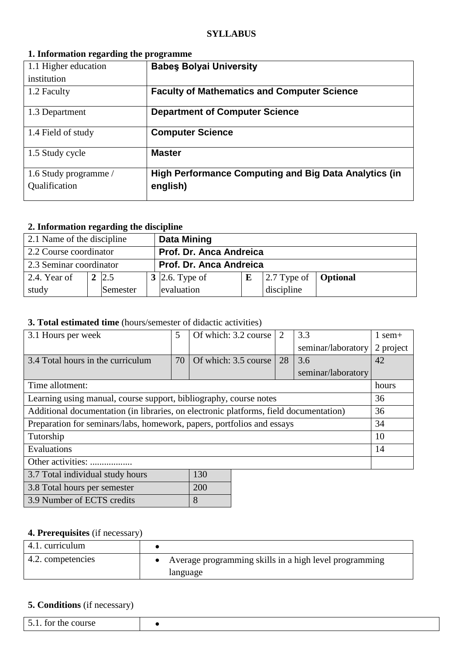## **1. Information regarding the programme**

| 1.1 Higher education                   | <b>Babes Bolyai University</b>                                           |
|----------------------------------------|--------------------------------------------------------------------------|
| institution                            |                                                                          |
| 1.2 Faculty                            | <b>Faculty of Mathematics and Computer Science</b>                       |
| 1.3 Department                         | <b>Department of Computer Science</b>                                    |
| 1.4 Field of study                     | <b>Computer Science</b>                                                  |
| 1.5 Study cycle                        | <b>Master</b>                                                            |
| 1.6 Study programme /<br>Qualification | <b>High Performance Computing and Big Data Analytics (in</b><br>english) |

### **2. Information regarding the discipline**

| 2.1 Name of the discipline                         |  |              |  | <b>Data Mining</b>            |  |                                             |  |  |
|----------------------------------------------------|--|--------------|--|-------------------------------|--|---------------------------------------------|--|--|
| 2.2 Course coordinator                             |  |              |  | Prof. Dr. Anca Andreica       |  |                                             |  |  |
| Prof. Dr. Anca Andreica<br>2.3 Seminar coordinator |  |              |  |                               |  |                                             |  |  |
| 2.4. Year of                                       |  | $2 \,   2.5$ |  | $\vert 3 \vert 2.6$ . Type of |  | $\vert 2.7$ Type of $\vert$ <b>Optional</b> |  |  |
| study                                              |  | Semester     |  | evaluation                    |  | discipline                                  |  |  |

#### **3. Total estimated time** (hours/semester of didactic activities)

| 3.1 Hours per week                                                                    | 5  | Of which: 3.2 course |  | 2  | 3.3                | 1 sem+    |
|---------------------------------------------------------------------------------------|----|----------------------|--|----|--------------------|-----------|
|                                                                                       |    |                      |  |    | seminar/laboratory | 2 project |
| 3.4 Total hours in the curriculum                                                     | 70 | Of which: 3.5 course |  | 28 | 3.6                | 42        |
|                                                                                       |    |                      |  |    | seminar/laboratory |           |
| Time allotment:                                                                       |    |                      |  |    |                    | hours     |
| Learning using manual, course support, bibliography, course notes                     |    |                      |  |    |                    | 36        |
| Additional documentation (in libraries, on electronic platforms, field documentation) |    |                      |  |    |                    | 36        |
| Preparation for seminars/labs, homework, papers, portfolios and essays                |    |                      |  |    | 34                 |           |
| Tutorship                                                                             |    |                      |  |    |                    | 10        |
| Evaluations                                                                           |    |                      |  |    | 14                 |           |
| Other activities:                                                                     |    |                      |  |    |                    |           |
| 3.7 Total individual study hours                                                      |    | 130                  |  |    |                    |           |
| 20 Total hours not compater                                                           |    | 200                  |  |    |                    |           |

| 3.8 Total hours per semester | 200 |
|------------------------------|-----|
| 3.9 Number of ECTS credits   |     |

### **4. Prerequisites** (if necessary)

| 4.1. curriculum   |                                                        |
|-------------------|--------------------------------------------------------|
| 4.2. competencies | Average programming skills in a high level programming |
|                   | language                                               |

### **5. Conditions** (if necessary)

| ⊦∩r<br>∼<br>1 I F<br>``<br>. .<br>. |  |
|-------------------------------------|--|
|                                     |  |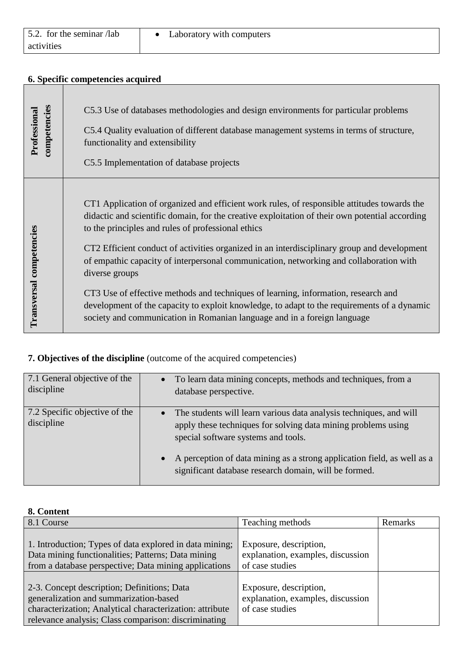#### **6. Specific competencies acquired**

| competencies<br>Professional | C5.3 Use of databases methodologies and design environments for particular problems<br>C5.4 Quality evaluation of different database management systems in terms of structure,<br>functionality and extensibility<br>C5.5 Implementation of database projects                                                                                                                                                                                                                                                                                                                                                                                                                                                                   |
|------------------------------|---------------------------------------------------------------------------------------------------------------------------------------------------------------------------------------------------------------------------------------------------------------------------------------------------------------------------------------------------------------------------------------------------------------------------------------------------------------------------------------------------------------------------------------------------------------------------------------------------------------------------------------------------------------------------------------------------------------------------------|
| Transversal competencies     | CT1 Application of organized and efficient work rules, of responsible attitudes towards the<br>didactic and scientific domain, for the creative exploitation of their own potential according<br>to the principles and rules of professional ethics<br>CT2 Efficient conduct of activities organized in an interdisciplinary group and development<br>of empathic capacity of interpersonal communication, networking and collaboration with<br>diverse groups<br>CT3 Use of effective methods and techniques of learning, information, research and<br>development of the capacity to exploit knowledge, to adapt to the requirements of a dynamic<br>society and communication in Romanian language and in a foreign language |

# **7. Objectives of the discipline** (outcome of the acquired competencies)

| 7.1 General objective of the<br>discipline  | To learn data mining concepts, methods and techniques, from a<br>database perspective.                                                                                                  |
|---------------------------------------------|-----------------------------------------------------------------------------------------------------------------------------------------------------------------------------------------|
| 7.2 Specific objective of the<br>discipline | The students will learn various data analysis techniques, and will<br>$\bullet$<br>apply these techniques for solving data mining problems using<br>special software systems and tools. |
|                                             | A perception of data mining as a strong application field, as well as a<br>significant database research domain, will be formed.                                                        |

| 8. Content                                                                                                                                                             |                                                                                |         |
|------------------------------------------------------------------------------------------------------------------------------------------------------------------------|--------------------------------------------------------------------------------|---------|
| 8.1 Course                                                                                                                                                             | Teaching methods                                                               | Remarks |
| 1. Introduction; Types of data explored in data mining;<br>Data mining functionalities; Patterns; Data mining<br>from a database perspective; Data mining applications | Exposure, description,<br>explanation, examples, discussion<br>of case studies |         |
|                                                                                                                                                                        |                                                                                |         |
| 2-3. Concept description; Definitions; Data<br>generalization and summarization-based<br>characterization; Analytical characterization: attribute                      | Exposure, description,<br>explanation, examples, discussion<br>of case studies |         |
| relevance analysis; Class comparison: discriminating                                                                                                                   |                                                                                |         |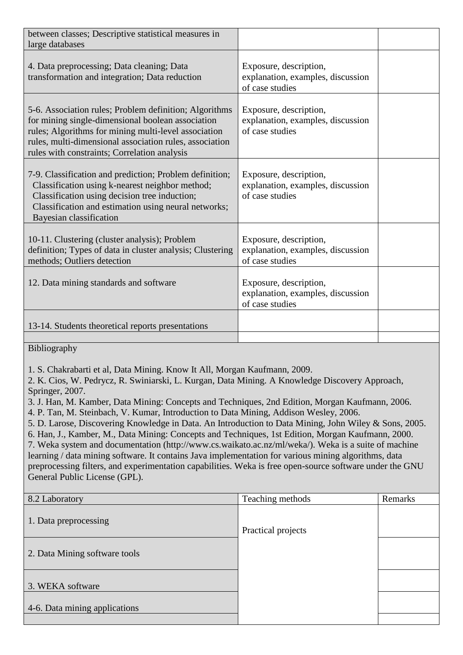| between classes; Descriptive statistical measures in<br>large databases                                                                                                                                                                                                        |                                                                                |  |
|--------------------------------------------------------------------------------------------------------------------------------------------------------------------------------------------------------------------------------------------------------------------------------|--------------------------------------------------------------------------------|--|
| 4. Data preprocessing; Data cleaning; Data<br>transformation and integration; Data reduction                                                                                                                                                                                   | Exposure, description,<br>explanation, examples, discussion<br>of case studies |  |
| 5-6. Association rules; Problem definition; Algorithms<br>for mining single-dimensional boolean association<br>rules; Algorithms for mining multi-level association<br>rules, multi-dimensional association rules, association<br>rules with constraints; Correlation analysis | Exposure, description,<br>explanation, examples, discussion<br>of case studies |  |
| 7-9. Classification and prediction; Problem definition;<br>Classification using k-nearest neighbor method;<br>Classification using decision tree induction;<br>Classification and estimation using neural networks;<br>Bayesian classification                                 | Exposure, description,<br>explanation, examples, discussion<br>of case studies |  |
| 10-11. Clustering (cluster analysis); Problem<br>definition; Types of data in cluster analysis; Clustering<br>methods; Outliers detection                                                                                                                                      | Exposure, description,<br>explanation, examples, discussion<br>of case studies |  |
| 12. Data mining standards and software                                                                                                                                                                                                                                         | Exposure, description,<br>explanation, examples, discussion<br>of case studies |  |
| 13-14. Students theoretical reports presentations                                                                                                                                                                                                                              |                                                                                |  |
|                                                                                                                                                                                                                                                                                |                                                                                |  |

Bibliography

1. S. Chakrabarti et al, Data Mining. Know It All, Morgan Kaufmann, 2009.

2. K. Cios, W. Pedrycz, R. Swiniarski, L. Kurgan, Data Mining. A Knowledge Discovery Approach, Springer, 2007.

3. J. Han, M. Kamber, Data Mining: Concepts and Techniques, 2nd Edition, Morgan Kaufmann, 2006.

4. P. Tan, M. Steinbach, V. Kumar, Introduction to Data Mining, Addison Wesley, 2006.

5. D. Larose, Discovering Knowledge in Data. An Introduction to Data Mining, John Wiley & Sons, 2005.

6. Han, J., Kamber, M., Data Mining: Concepts and Techniques, 1st Edition, Morgan Kaufmann, 2000. 7. Weka system and documentation (http://www.cs.waikato.ac.nz/ml/weka/). Weka is a suite of machine learning / data mining software. It contains Java implementation for various mining algorithms, data preprocessing filters, and experimentation capabilities. Weka is free open-source software under the GNU General Public License (GPL).

| 8.2 Laboratory                | Teaching methods   | Remarks |
|-------------------------------|--------------------|---------|
| 1. Data preprocessing         | Practical projects |         |
| 2. Data Mining software tools |                    |         |
| 3. WEKA software              |                    |         |
| 4-6. Data mining applications |                    |         |
|                               |                    |         |